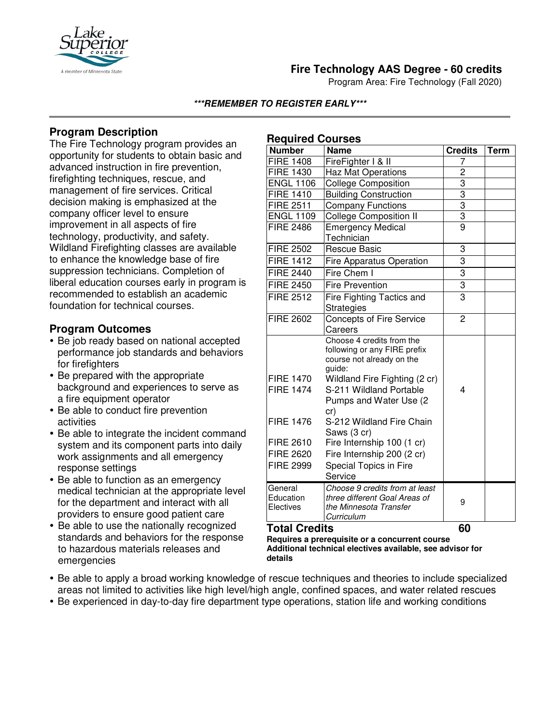

# **Fire Technology AAS Degree - 60 credits**

Program Area: Fire Technology (Fall 2020)

#### **\*\*\*REMEMBER TO REGISTER EARLY\*\*\***

**Required Courses**

## **Program Description**

The Fire Technology program provides an opportunity for students to obtain basic and advanced instruction in fire prevention, firefighting techniques, rescue, and management of fire services. Critical decision making is emphasized at the company officer level to ensure improvement in all aspects of fire technology, productivity, and safety. Wildland Firefighting classes are available to enhance the knowledge base of fire suppression technicians. Completion of liberal education courses early in program is recommended to establish an academic foundation for technical courses.

### **Program Outcomes**

- Be job ready based on national accepted performance job standards and behaviors for firefighters
- Be prepared with the appropriate background and experiences to serve as a fire equipment operator
- Be able to conduct fire prevention activities
- Be able to integrate the incident command system and its component parts into daily work assignments and all emergency response settings
- Be able to function as an emergency medical technician at the appropriate level for the department and interact with all providers to ensure good patient care
- Be able to use the nationally recognized standards and behaviors for the response to hazardous materials releases and emergencies

| <b>Number</b>                                                                                                        | <b>Name</b>                                                                                                                                                                                                                                                                                                                                 | <b>Credits</b> | <b>Term</b> |
|----------------------------------------------------------------------------------------------------------------------|---------------------------------------------------------------------------------------------------------------------------------------------------------------------------------------------------------------------------------------------------------------------------------------------------------------------------------------------|----------------|-------------|
| <b>FIRE 1408</b>                                                                                                     | FireFighter I & II                                                                                                                                                                                                                                                                                                                          | 7              |             |
| <b>FIRE 1430</b>                                                                                                     | <b>Haz Mat Operations</b>                                                                                                                                                                                                                                                                                                                   | 2              |             |
| <b>ENGL 1106</b>                                                                                                     | <b>College Composition</b>                                                                                                                                                                                                                                                                                                                  | 3              |             |
| <b>FIRE 1410</b>                                                                                                     | <b>Building Construction</b>                                                                                                                                                                                                                                                                                                                | $\overline{3}$ |             |
| <b>FIRE 2511</b>                                                                                                     | <b>Company Functions</b>                                                                                                                                                                                                                                                                                                                    | 3              |             |
| <b>ENGL 1109</b>                                                                                                     | <b>College Composition II</b>                                                                                                                                                                                                                                                                                                               | $\overline{3}$ |             |
| <b>FIRE 2486</b>                                                                                                     | <b>Emergency Medical</b>                                                                                                                                                                                                                                                                                                                    | $\overline{9}$ |             |
|                                                                                                                      | Technician                                                                                                                                                                                                                                                                                                                                  |                |             |
| <b>FIRE 2502</b>                                                                                                     | <b>Rescue Basic</b>                                                                                                                                                                                                                                                                                                                         | 3              |             |
| <b>FIRE 1412</b>                                                                                                     | <b>Fire Apparatus Operation</b>                                                                                                                                                                                                                                                                                                             | 3              |             |
| <b>FIRE 2440</b>                                                                                                     | Fire Chem I                                                                                                                                                                                                                                                                                                                                 | 3              |             |
| <b>FIRE 2450</b>                                                                                                     | <b>Fire Prevention</b>                                                                                                                                                                                                                                                                                                                      | $\overline{3}$ |             |
| <b>FIRE 2512</b>                                                                                                     | Fire Fighting Tactics and                                                                                                                                                                                                                                                                                                                   | 3              |             |
|                                                                                                                      | Strategies                                                                                                                                                                                                                                                                                                                                  |                |             |
| <b>FIRE 2602</b>                                                                                                     | <b>Concepts of Fire Service</b><br>Careers                                                                                                                                                                                                                                                                                                  | $\overline{2}$ |             |
| <b>FIRE 1470</b><br><b>FIRE 1474</b><br><b>FIRE 1476</b><br><b>FIRE 2610</b><br><b>FIRE 2620</b><br><b>FIRE 2999</b> | Choose 4 credits from the<br>following or any FIRE prefix<br>course not already on the<br>guide:<br>Wildland Fire Fighting (2 cr)<br>S-211 Wildland Portable<br>Pumps and Water Use (2)<br>cr)<br>S-212 Wildland Fire Chain<br>Saws (3 cr)<br>Fire Internship 100 (1 cr)<br>Fire Internship 200 (2 cr)<br>Special Topics in Fire<br>Service | 4              |             |
| General<br>Education<br>Electives                                                                                    | Choose 9 credits from at least<br>three different Goal Areas of<br>the Minnesota Transfer<br>Curriculum                                                                                                                                                                                                                                     | 9              |             |

#### **Total Credits 60**

**Requires a prerequisite or a concurrent course Additional technical electives available, see advisor for details**

- Be able to apply a broad working knowledge of rescue techniques and theories to include specialized areas not limited to activities like high level/high angle, confined spaces, and water related rescues
- Be experienced in day-to-day fire department type operations, station life and working conditions